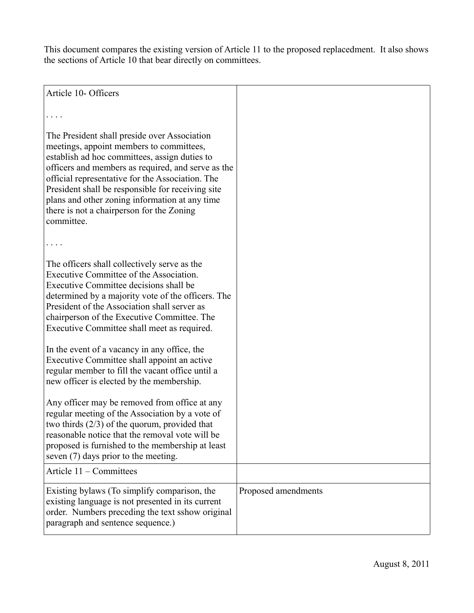This document compares the existing version of Article 11 to the proposed replacedment. It also shows the sections of Article 10 that bear directly on committees.

Article 10- Officers

. . . .

The President shall preside over Association meetings, appoint members to committees, establish ad hoc committees, assign duties to officers and members as required, and serve as the official representative for the Association. The President shall be responsible for receiving site plans and other zoning information at any time there is not a chairperson for the Zoning committee.

The officers shall collectively serve as the Executive Committee of the Association. Executive Committee decisions shall be determined by a majority vote of the officers. The President of the Association shall server as chairperson of the Executive Committee. The Executive Committee shall meet as required.

In the event of a vacancy in any office, the Executive Committee shall appoint an active regular member to fill the vacant office until a new officer is elected by the membership.

Any officer may be removed from office at any regular meeting of the Association by a vote of two thirds (2/3) of the quorum, provided that reasonable notice that the removal vote will be proposed is furnished to the membership at least seven (7) days prior to the meeting. Article 11 – Committees Existing bylaws (To simplify comparison, the existing language is not presented in its current order. Numbers preceding the text sshow original paragraph and sentence sequence.) Proposed amendments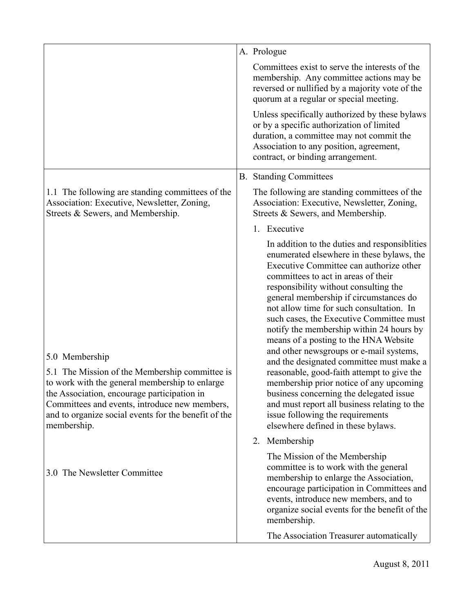|                                                                                                                                                                                                                                                                                           | A. Prologue                                                                                                                                                                                                                                                                                                                                                                                                                                                                                                                                                                                                                                                                                                                                                                                        |
|-------------------------------------------------------------------------------------------------------------------------------------------------------------------------------------------------------------------------------------------------------------------------------------------|----------------------------------------------------------------------------------------------------------------------------------------------------------------------------------------------------------------------------------------------------------------------------------------------------------------------------------------------------------------------------------------------------------------------------------------------------------------------------------------------------------------------------------------------------------------------------------------------------------------------------------------------------------------------------------------------------------------------------------------------------------------------------------------------------|
|                                                                                                                                                                                                                                                                                           | Committees exist to serve the interests of the<br>membership. Any committee actions may be<br>reversed or nullified by a majority vote of the<br>quorum at a regular or special meeting.                                                                                                                                                                                                                                                                                                                                                                                                                                                                                                                                                                                                           |
|                                                                                                                                                                                                                                                                                           | Unless specifically authorized by these bylaws<br>or by a specific authorization of limited<br>duration, a committee may not commit the<br>Association to any position, agreement,<br>contract, or binding arrangement.                                                                                                                                                                                                                                                                                                                                                                                                                                                                                                                                                                            |
|                                                                                                                                                                                                                                                                                           | <b>B.</b> Standing Committees                                                                                                                                                                                                                                                                                                                                                                                                                                                                                                                                                                                                                                                                                                                                                                      |
| 1.1 The following are standing committees of the<br>Association: Executive, Newsletter, Zoning,<br>Streets & Sewers, and Membership.                                                                                                                                                      | The following are standing committees of the<br>Association: Executive, Newsletter, Zoning,<br>Streets & Sewers, and Membership.                                                                                                                                                                                                                                                                                                                                                                                                                                                                                                                                                                                                                                                                   |
|                                                                                                                                                                                                                                                                                           | 1. Executive                                                                                                                                                                                                                                                                                                                                                                                                                                                                                                                                                                                                                                                                                                                                                                                       |
| 5.0 Membership<br>5.1 The Mission of the Membership committee is<br>to work with the general membership to enlarge<br>the Association, encourage participation in<br>Committees and events, introduce new members,<br>and to organize social events for the benefit of the<br>membership. | In addition to the duties and responsibilities<br>enumerated elsewhere in these bylaws, the<br>Executive Committee can authorize other<br>committees to act in areas of their<br>responsibility without consulting the<br>general membership if circumstances do<br>not allow time for such consultation. In<br>such cases, the Executive Committee must<br>notify the membership within 24 hours by<br>means of a posting to the HNA Website<br>and other newsgroups or e-mail systems,<br>and the designated committee must make a<br>reasonable, good-faith attempt to give the<br>membership prior notice of any upcoming<br>business concerning the delegated issue<br>and must report all business relating to the<br>issue following the requirements<br>elsewhere defined in these bylaws. |
|                                                                                                                                                                                                                                                                                           | 2. Membership                                                                                                                                                                                                                                                                                                                                                                                                                                                                                                                                                                                                                                                                                                                                                                                      |
| 3.0 The Newsletter Committee                                                                                                                                                                                                                                                              | The Mission of the Membership<br>committee is to work with the general<br>membership to enlarge the Association,<br>encourage participation in Committees and<br>events, introduce new members, and to<br>organize social events for the benefit of the<br>membership.                                                                                                                                                                                                                                                                                                                                                                                                                                                                                                                             |
|                                                                                                                                                                                                                                                                                           | The Association Treasurer automatically                                                                                                                                                                                                                                                                                                                                                                                                                                                                                                                                                                                                                                                                                                                                                            |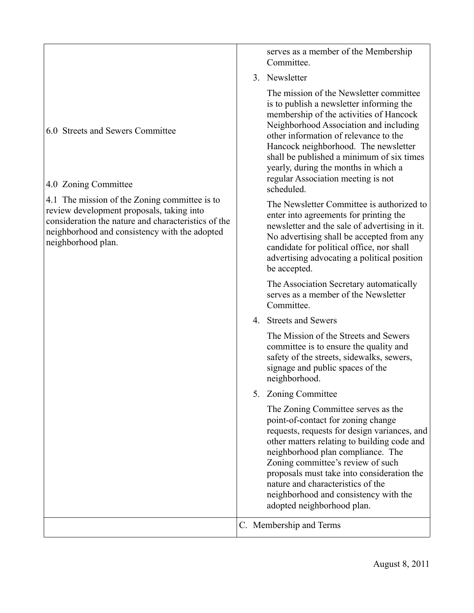|                                                                                                                                                                                                                          | Committee.                                                                                                                                                                                                                                                                                                                                                                                                  |
|--------------------------------------------------------------------------------------------------------------------------------------------------------------------------------------------------------------------------|-------------------------------------------------------------------------------------------------------------------------------------------------------------------------------------------------------------------------------------------------------------------------------------------------------------------------------------------------------------------------------------------------------------|
|                                                                                                                                                                                                                          | 3. Newsletter                                                                                                                                                                                                                                                                                                                                                                                               |
| 6.0 Streets and Sewers Committee<br>4.0 Zoning Committee                                                                                                                                                                 | The mission of the Newsletter committee<br>is to publish a newsletter informing the<br>membership of the activities of Hancock<br>Neighborhood Association and including<br>other information of relevance to the<br>Hancock neighborhood. The newsletter<br>shall be published a minimum of six times<br>yearly, during the months in which a<br>regular Association meeting is not<br>scheduled.          |
| 4.1 The mission of the Zoning committee is to<br>review development proposals, taking into<br>consideration the nature and characteristics of the<br>neighborhood and consistency with the adopted<br>neighborhood plan. | The Newsletter Committee is authorized to<br>enter into agreements for printing the<br>newsletter and the sale of advertising in it.<br>No advertising shall be accepted from any<br>candidate for political office, nor shall<br>advertising advocating a political position<br>be accepted.                                                                                                               |
|                                                                                                                                                                                                                          | The Association Secretary automatically<br>serves as a member of the Newsletter<br>Committee.                                                                                                                                                                                                                                                                                                               |
|                                                                                                                                                                                                                          | 4. Streets and Sewers                                                                                                                                                                                                                                                                                                                                                                                       |
|                                                                                                                                                                                                                          | The Mission of the Streets and Sewers<br>committee is to ensure the quality and<br>safety of the streets, sidewalks, sewers,<br>signage and public spaces of the<br>neighborhood.                                                                                                                                                                                                                           |
|                                                                                                                                                                                                                          | 5. Zoning Committee                                                                                                                                                                                                                                                                                                                                                                                         |
|                                                                                                                                                                                                                          | The Zoning Committee serves as the<br>point-of-contact for zoning change<br>requests, requests for design variances, and<br>other matters relating to building code and<br>neighborhood plan compliance. The<br>Zoning committee's review of such<br>proposals must take into consideration the<br>nature and characteristics of the<br>neighborhood and consistency with the<br>adopted neighborhood plan. |
|                                                                                                                                                                                                                          | C. Membership and Terms                                                                                                                                                                                                                                                                                                                                                                                     |

serves as a member of the Membership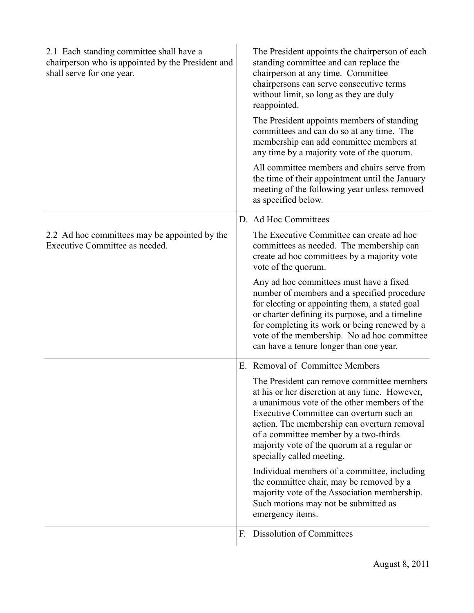| 2.1 Each standing committee shall have a<br>chairperson who is appointed by the President and<br>shall serve for one year. |    | The President appoints the chairperson of each<br>standing committee and can replace the<br>chairperson at any time. Committee<br>chairpersons can serve consecutive terms<br>without limit, so long as they are duly<br>reappointed.                                                                                                                                                                        |
|----------------------------------------------------------------------------------------------------------------------------|----|--------------------------------------------------------------------------------------------------------------------------------------------------------------------------------------------------------------------------------------------------------------------------------------------------------------------------------------------------------------------------------------------------------------|
|                                                                                                                            |    | The President appoints members of standing<br>committees and can do so at any time. The<br>membership can add committee members at<br>any time by a majority vote of the quorum.                                                                                                                                                                                                                             |
|                                                                                                                            |    | All committee members and chairs serve from<br>the time of their appointment until the January<br>meeting of the following year unless removed<br>as specified below.                                                                                                                                                                                                                                        |
|                                                                                                                            |    | D. Ad Hoc Committees                                                                                                                                                                                                                                                                                                                                                                                         |
| 2.2 Ad hoc committees may be appointed by the<br>Executive Committee as needed.                                            |    | The Executive Committee can create ad hoc<br>committees as needed. The membership can<br>create ad hoc committees by a majority vote<br>vote of the quorum.                                                                                                                                                                                                                                                  |
|                                                                                                                            |    | Any ad hoc committees must have a fixed<br>number of members and a specified procedure<br>for electing or appointing them, a stated goal<br>or charter defining its purpose, and a timeline<br>for completing its work or being renewed by a<br>vote of the membership. No ad hoc committee<br>can have a tenure longer than one year.                                                                       |
|                                                                                                                            | Е. | Removal of Committee Members                                                                                                                                                                                                                                                                                                                                                                                 |
|                                                                                                                            |    | The President can remove committee members<br>at his or her discretion at any time. However,<br>a unanimous vote of the other members of the<br>Executive Committee can overturn such an<br>action. The membership can overturn removal<br>of a committee member by a two-thirds<br>majority vote of the quorum at a regular or<br>specially called meeting.<br>Individual members of a committee, including |
|                                                                                                                            |    | the committee chair, may be removed by a<br>majority vote of the Association membership.<br>Such motions may not be submitted as<br>emergency items.                                                                                                                                                                                                                                                         |
|                                                                                                                            | F. | Dissolution of Committees                                                                                                                                                                                                                                                                                                                                                                                    |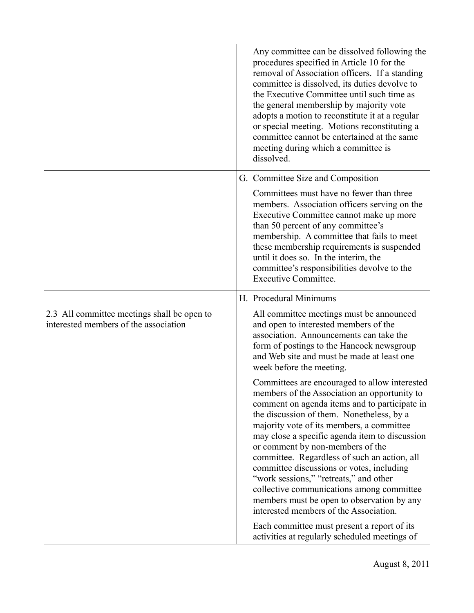|                                                                                      | Any committee can be dissolved following the<br>procedures specified in Article 10 for the<br>removal of Association officers. If a standing<br>committee is dissolved, its duties devolve to<br>the Executive Committee until such time as<br>the general membership by majority vote<br>adopts a motion to reconstitute it at a regular<br>or special meeting. Motions reconstituting a<br>committee cannot be entertained at the same<br>meeting during which a committee is<br>dissolved.                                                                                                              |
|--------------------------------------------------------------------------------------|------------------------------------------------------------------------------------------------------------------------------------------------------------------------------------------------------------------------------------------------------------------------------------------------------------------------------------------------------------------------------------------------------------------------------------------------------------------------------------------------------------------------------------------------------------------------------------------------------------|
|                                                                                      | G. Committee Size and Composition                                                                                                                                                                                                                                                                                                                                                                                                                                                                                                                                                                          |
|                                                                                      | Committees must have no fewer than three<br>members. Association officers serving on the<br>Executive Committee cannot make up more<br>than 50 percent of any committee's<br>membership. A committee that fails to meet<br>these membership requirements is suspended<br>until it does so. In the interim, the<br>committee's responsibilities devolve to the<br><b>Executive Committee.</b>                                                                                                                                                                                                               |
|                                                                                      | H. Procedural Minimums                                                                                                                                                                                                                                                                                                                                                                                                                                                                                                                                                                                     |
| 2.3 All committee meetings shall be open to<br>interested members of the association | All committee meetings must be announced<br>and open to interested members of the<br>association. Announcements can take the<br>form of postings to the Hancock newsgroup<br>and Web site and must be made at least one<br>week before the meeting.                                                                                                                                                                                                                                                                                                                                                        |
|                                                                                      | Committees are encouraged to allow interested<br>members of the Association an opportunity to<br>comment on agenda items and to participate in<br>the discussion of them. Nonetheless, by a<br>majority vote of its members, a committee<br>may close a specific agenda item to discussion<br>or comment by non-members of the<br>committee. Regardless of such an action, all<br>committee discussions or votes, including<br>"work sessions," "retreats," and other<br>collective communications among committee<br>members must be open to observation by any<br>interested members of the Association. |
|                                                                                      | Each committee must present a report of its<br>activities at regularly scheduled meetings of                                                                                                                                                                                                                                                                                                                                                                                                                                                                                                               |